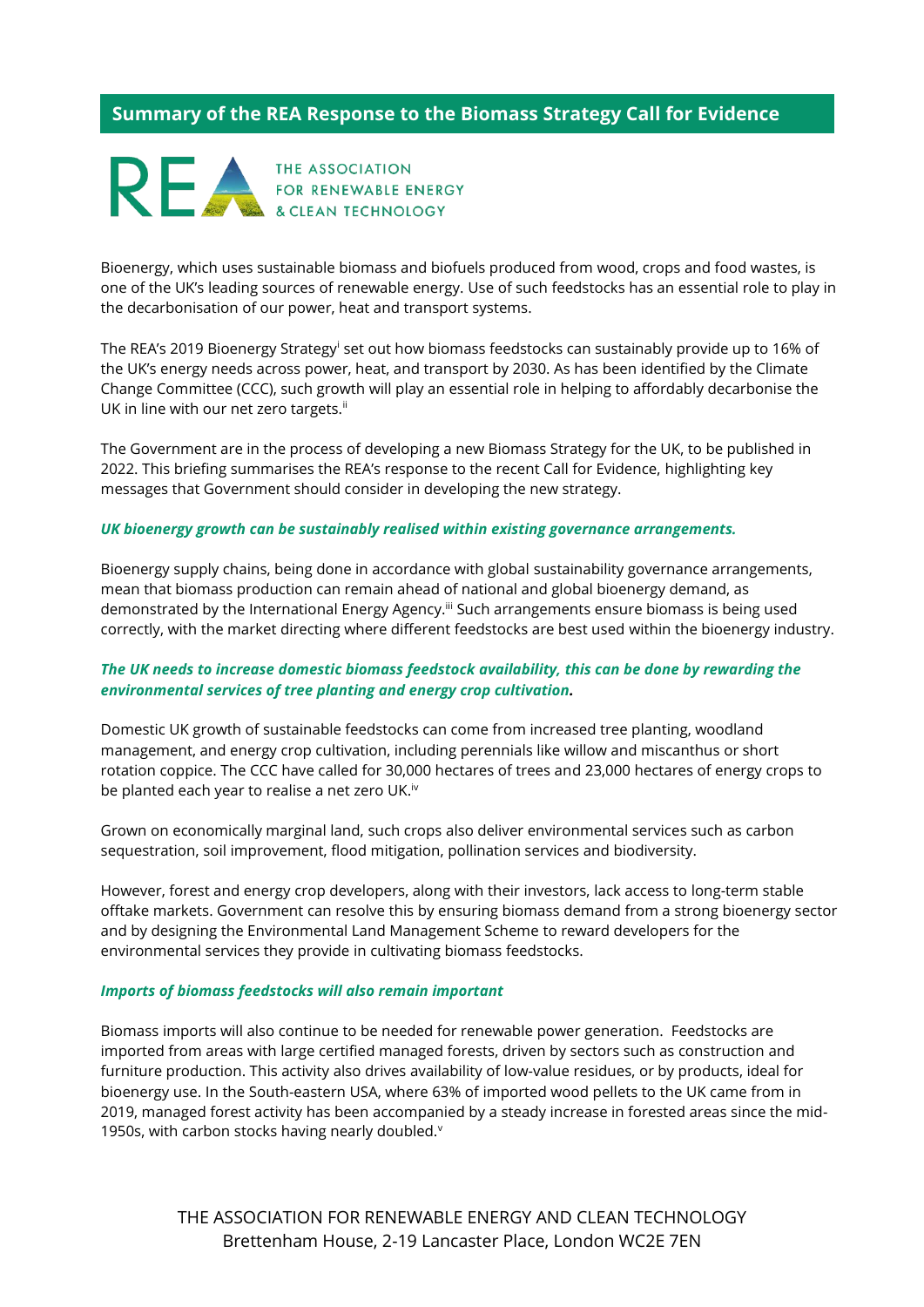# **Summary of the REA Response to the Biomass Strategy Call for Evidence**



& CLEAN TECHNOLOGY

Bioenergy, which uses sustainable biomass and biofuels produced from wood, crops and food wastes, is one of the UK's leading sources of renewable energy. Use of such feedstocks has an essential role to play in the decarbonisation of our power, heat and transport systems.

The REA's 2019 Bioenergy Strategy<sup>i</sup> set out how biomass feedstocks can sustainably provide up to 16% of the UK's energy needs across power, heat, and transport by 2030. As has been identified by the Climate Change Committee (CCC), such growth will play an essential role in helping to affordably decarbonise the UK in line with our net zero targets.<sup>ii</sup>

The Government are in the process of developing a new Biomass Strategy for the UK, to be published in 2022. This briefing summarises the REA's response to the recent Call for Evidence, highlighting key messages that Government should consider in developing the new strategy.

#### *UK bioenergy growth can be sustainably realised within existing governance arrangements.*

Bioenergy supply chains, being done in accordance with global sustainability governance arrangements, mean that biomass production can remain ahead of national and global bioenergy demand, as demonstrated by the International Energy Agency.<sup>iii</sup> Such arrangements ensure biomass is being used correctly, with the market directing where different feedstocks are best used within the bioenergy industry.

## *The UK needs to increase domestic biomass feedstock availability, this can be done by rewarding the environmental services of tree planting and energy crop cultivation.*

Domestic UK growth of sustainable feedstocks can come from increased tree planting, woodland management, and energy crop cultivation, including perennials like willow and miscanthus or short rotation coppice. The CCC have called for 30,000 hectares of trees and 23,000 hectares of energy crops to be planted each year to realise a net zero UK.<sup>iv</sup>

Grown on economically marginal land, such crops also deliver environmental services such as carbon sequestration, soil improvement, flood mitigation, pollination services and biodiversity.

However, forest and energy crop developers, along with their investors, lack access to long-term stable offtake markets. Government can resolve this by ensuring biomass demand from a strong bioenergy sector and by designing the Environmental Land Management Scheme to reward developers for the environmental services they provide in cultivating biomass feedstocks.

#### *Imports of biomass feedstocks will also remain important*

Biomass imports will also continue to be needed for renewable power generation. Feedstocks are imported from areas with large certified managed forests, driven by sectors such as construction and furniture production. This activity also drives availability of low-value residues, or by products, ideal for bioenergy use. In the South-eastern USA, where 63% of imported wood pellets to the UK came from in 2019, managed forest activity has been accompanied by a steady increase in forested areas since the mid-1950s, with carbon stocks having nearly doubled.<sup>v</sup>